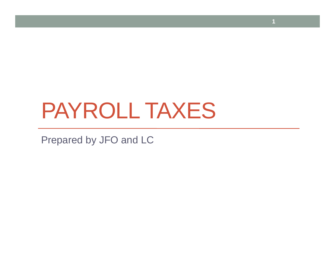# PAYROLL TAXES

**1**

Prepared by JFO and LC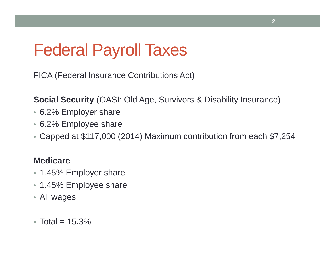# Federal Payroll Taxes

FICA (Federal Insurance Contributions Act)

**Social Security** (OASI: Old Age, Survivors & Disability Insurance)

- 6.2% Employer share
- 6.2% Employee share
- Capped at \$117,000 (2014) Maximum contribution from each \$7,254

#### **Medicare**

- 1.45% Employer share
- 1.45% Employee share
- All wages
- Total =  $15.3\%$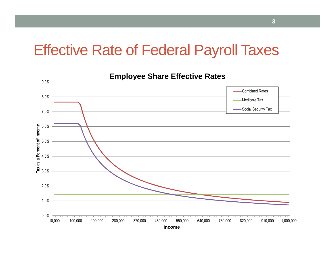### Effective Rate of Federal Payroll Taxes

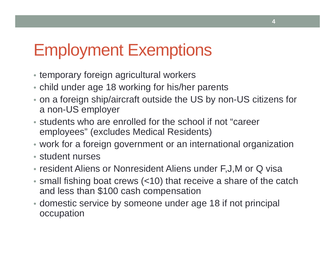## Employment Exemptions

- temporary foreign agricultural workers
- child under age 18 working for his/her parents
- on a foreign ship/aircraft outside the US by non-US citizens for a non-US employer
- students who are enrolled for the school if not "career employees" (excludes Medical Residents)
- work for a foreign government or an international organization
- student nurses
- resident Aliens or Nonresident Aliens under F,J,M or Q visa
- small fishing boat crews (<10) that receive a share of the catch and less than \$100 cash compensation
- domestic service by someone under age 18 if not principal occupation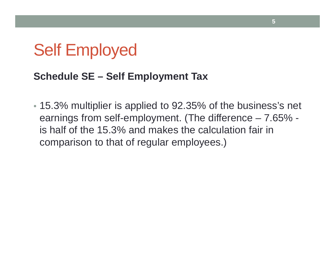### Self Employed

#### **Schedule SE – Self Employment Tax**

• 15.3% multiplier is applied to 92.35% of the business's net earnings from self-employment. (The difference – 7.65% is half of the 15.3% and makes the calculation fair in comparison to that of regular employees.)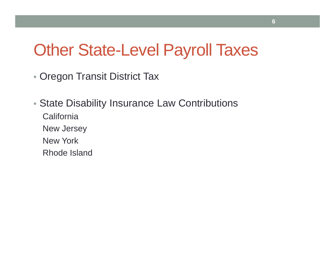## Other State-Level Payroll Taxes

- Oregon Transit District Tax
- State Disability Insurance Law Contributions **California** New Jersey New York Rhode Island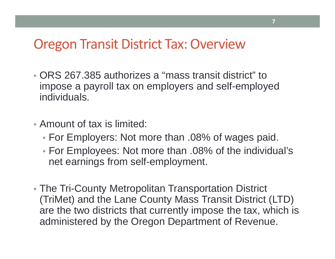### Oregon Transit District Tax: Overview

- ORS 267.385 authorizes a "mass transit district" to impose a payroll tax on employers and self-employed individuals.
- Amount of tax is limited:
	- For Employers: Not more than .08% of wages paid.
	- For Employees: Not more than .08% of the individual's net earnings from self-employment.
- The Tri-County Metropolitan Transportation District (TriMet) and the Lane County Mass Transit District (LTD) are the two districts that currently impose the tax, which is administered by the Oregon Department of Revenue.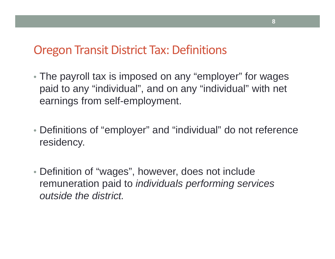### Oregon Transit District Tax: Definitions

- The payroll tax is imposed on any "employer" for wages paid to any "individual", and on any "individual" with net earnings from self-employment.
- Definitions of "employer" and "individual" do not reference residency.
- Definition of "wages", however, does not include remuneration paid to *individuals performing services outside the district.*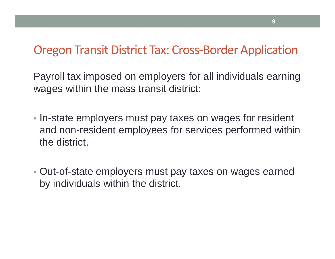### Oregon Transit District Tax: Cross-Border Application

Payroll tax imposed on employers for all individuals earning wages within the mass transit district:

- In-state employers must pay taxes on wages for resident and non-resident employees for services performed within the district.
- Out-of-state employers must pay taxes on wages earned by individuals within the district.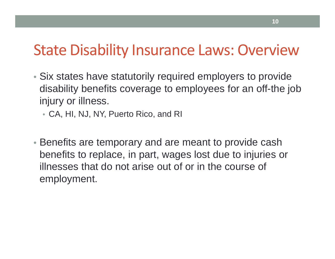### State Disability Insurance Laws: Overview

- Six states have statutorily required employers to provide disability benefits coverage to employees for an off-the job injury or illness.
	- CA, HI, NJ, NY, Puerto Rico, and RI
- Benefits are temporary and are meant to provide cash benefits to replace, in part, wages lost due to injuries or illnesses that do not arise out of or in the course of employment.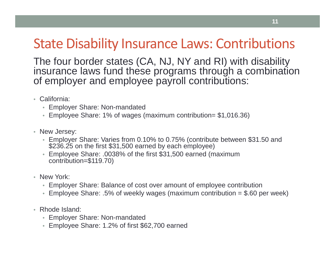### State Disability Insurance Laws: Contributions

The four border states (CA, NJ, NY and RI) with disability insurance laws fund these programs through a combination of employer and employee payroll contributions:

- California:
	- Employer Share: Non-mandated
	- Employee Share: 1% of wages (maximum contribution= \$1,016.36)
- New Jersey:
	- Employer Share: Varies from 0.10% to 0.75% (contribute between \$31.50 and \$236.25 on the first \$31,500 earned by each employee)
	- Employee Share: .0038% of the first \$31,500 earned (maximum contribution=\$119.70)
- New York:
	- Employer Share: Balance of cost over amount of employee contribution
	- Employee Share: .5% of weekly wages (maximum contribution  $= $.60$  per week)
- Rhode Island:
	- Employer Share: Non-mandated
	- Employee Share: 1.2% of first \$62,700 earned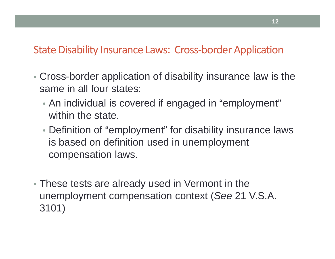#### State Disability Insurance Laws: Cross-border Application

- Cross-border application of disability insurance law is the same in all four states:
	- An individual is covered if engaged in "employment" within the state.
	- Definition of "employment" for disability insurance laws is based on definition used in unemployment compensation laws.
- These tests are already used in Vermont in the unemployment compensation context (*See* 21 V.S.A. 3101)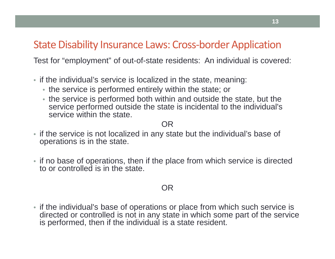#### State Disability Insurance Laws: Cross-border Application

Test for "employment" of out-of-state residents: An individual is covered:

- if the individual's service is localized in the state, meaning:
	- the service is performed entirely within the state; or
	- the service is performed both within and outside the state, but the service performed outside the state is incidental to the individual's service within the state.

#### OR

- if the service is not localized in any state but the individual's base of operations is in the state.
- if no base of operations, then if the place from which service is directed to or controlled is in the state.

#### OR

• if the individual's base of operations or place from which such service is directed or controlled is not in any state in which some part of the service is performed, then if the individual is a state resident.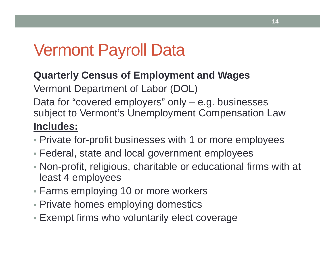# Vermont Payroll Data

#### **Quarterly Census of Employment and Wages**

Vermont Department of Labor (DOL)

Data for "covered employers" only – e.g. businesses subject to Vermont's Unemployment Compensation Law **Includes:**

- Private for-profit businesses with 1 or more employees
- Federal, state and local government employees
- Non-profit, religious, charitable or educational firms with at least 4 employees
- Farms employing 10 or more workers
- Private homes employing domestics
- Exempt firms who voluntarily elect coverage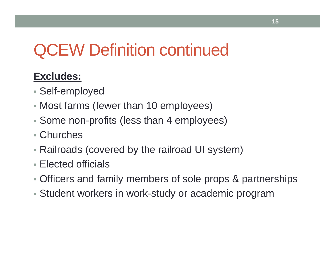# QCEW Definition continued

### **Excludes:**

- Self-employed
- Most farms (fewer than 10 employees)
- Some non-profits (less than 4 employees)
- Churches
- Railroads (covered by the railroad UI system)
- Elected officials
- Officers and family members of sole props & partnerships
- Student workers in work-study or academic program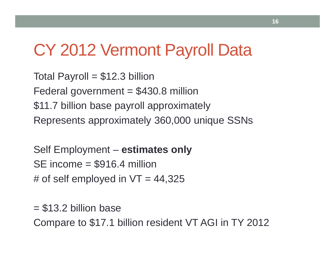## CY 2012 Vermont Payroll Data

Total Payroll  $= $12.3$  billion Federal government  $= $430.8$  million \$11.7 billion base payroll approximately Represents approximately 360,000 unique SSNs

```
Self Employment – estimates only
SE income = $916.4 million
# of self employed in VT = 44,325
```
 $= $13.2$  billion base Compare to \$17.1 billion resident VT AGI in TY 2012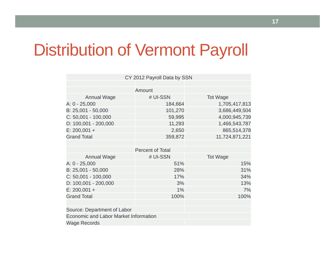## Distribution of Vermont Payroll

|                                              | CY 2012 Payroll Data by SSN |                 |
|----------------------------------------------|-----------------------------|-----------------|
|                                              | Amount                      |                 |
| <b>Annual Wage</b>                           | # UI-SSN                    | <b>Tot Wage</b> |
| A: 0 - 25,000                                | 184,664                     | 1,705,417,813   |
| B: 25,001 - 50,000                           | 101,270                     | 3,686,449,504   |
| $C: 50,001 - 100,000$                        | 59,995                      | 4,000,945,739   |
| $D: 100,001 - 200,000$                       | 11,293                      | 1,466,543,787   |
| $E: 200,001 +$                               | 2,650                       | 865,514,378     |
| <b>Grand Total</b>                           | 359,872                     | 11,724,871,221  |
|                                              | <b>Percent of Total</b>     |                 |
| <b>Annual Wage</b>                           | # UI-SSN                    | <b>Tot Wage</b> |
| A: 0 - 25,000                                | 51%                         | 15%             |
| $B: 25,001 - 50,000$                         | 28%                         | 31%             |
| $C: 50,001 - 100,000$                        | 17%                         | 34%             |
| D: 100,001 - 200,000                         | 3%                          | 13%             |
| $E: 200,001 +$                               | 1%                          | 7%              |
| <b>Grand Total</b>                           | 100%                        | 100%            |
| Source: Department of Labor                  |                             |                 |
| <b>Economic and Labor Market Information</b> |                             |                 |
| <b>Wage Records</b>                          |                             |                 |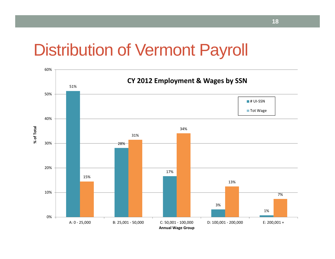### Distribution of Vermont Payroll